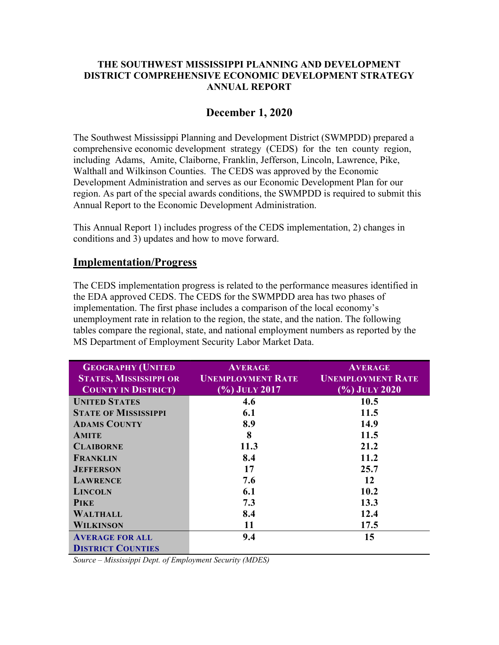#### THE SOUTHWEST MISSISSIPPI PLANNING AND DEVELOPMENT DISTRICT COMPREHENSIVE ECONOMIC DEVELOPMENT STRATEGY ANNUAL REPORT

#### December 1, 2020

The Southwest Mississippi Planning and Development District (SWMPDD) prepared a comprehensive economic development strategy (CEDS) for the ten county region, including Adams, Amite, Claiborne, Franklin, Jefferson, Lincoln, Lawrence, Pike, Walthall and Wilkinson Counties. The CEDS was approved by the Economic Development Administration and serves as our Economic Development Plan for our region. As part of the special awards conditions, the SWMPDD is required to submit this Annual Report to the Economic Development Administration.

This Annual Report 1) includes progress of the CEDS implementation, 2) changes in conditions and 3) updates and how to move forward.

#### Implementation/Progress

The CEDS implementation progress is related to the performance measures identified in the EDA approved CEDS. The CEDS for the SWMPDD area has two phases of implementation. The first phase includes a comparison of the local economy's unemployment rate in relation to the region, the state, and the nation. The following tables compare the regional, state, and national employment numbers as reported by the MS Department of Employment Security Labor Market Data.

| <b>GEOGRAPHY (UNITED</b>      | <b>AVERAGE</b>             | <b>AVERAGE</b>           |  |
|-------------------------------|----------------------------|--------------------------|--|
| <b>STATES, MISSISSIPPI OR</b> | <b>UNEMPLOYMENT RATE</b>   | <b>UNEMPLOYMENT RATE</b> |  |
| <b>COUNTY IN DISTRICT</b>     | $\overline{(*)}$ July 2017 | $(\%)$ July 2020         |  |
| <b>UNITED STATES</b>          | 4.6                        | 10.5                     |  |
| <b>STATE OF MISSISSIPPI</b>   | 6.1                        | 11.5                     |  |
| <b>ADAMS COUNTY</b>           | 8.9                        | 14.9                     |  |
| <b>AMITE</b>                  | 8                          | 11.5                     |  |
| <b>CLAIBORNE</b>              | 11.3                       | 21.2                     |  |
| FRANKLIN                      | 8.4                        | 11.2                     |  |
| <b>JEFFERSON</b>              | 17                         | 25.7                     |  |
| <b>LAWRENCE</b>               | 7.6                        | 12                       |  |
| <b>LINCOLN</b>                | 6.1                        | 10.2                     |  |
| <b>PIKE</b>                   | 7.3                        | 13.3                     |  |
| <b>WALTHALL</b>               | 8.4                        | 12.4                     |  |
| <b>WILKINSON</b>              | 11                         | 17.5                     |  |
| <b>AVERAGE FOR ALL</b>        | 9.4                        | 15                       |  |
| <b>DISTRICT COUNTIES</b>      |                            |                          |  |

Source – Mississippi Dept. of Employment Security (MDES)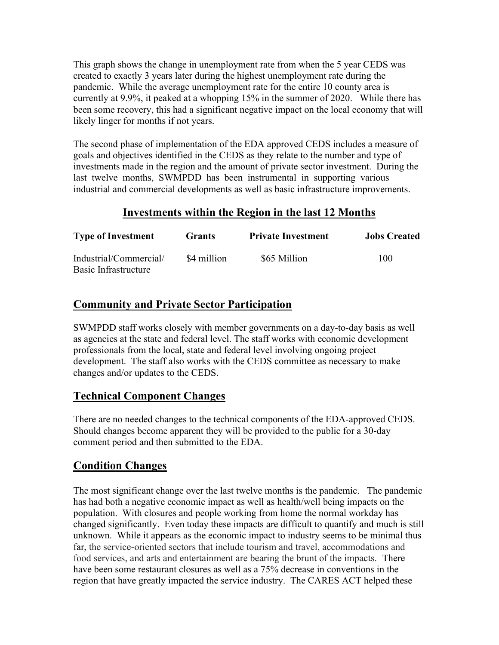This graph shows the change in unemployment rate from when the 5 year CEDS was created to exactly 3 years later during the highest unemployment rate during the pandemic. While the average unemployment rate for the entire 10 county area is currently at 9.9%, it peaked at a whopping 15% in the summer of 2020. While there has been some recovery, this had a significant negative impact on the local economy that will likely linger for months if not years.

The second phase of implementation of the EDA approved CEDS includes a measure of goals and objectives identified in the CEDS as they relate to the number and type of investments made in the region and the amount of private sector investment. During the last twelve months, SWMPDD has been instrumental in supporting various industrial and commercial developments as well as basic infrastructure improvements.

# Investments within the Region in the last 12 Months

| <b>Type of Investment</b>                      | Grants      | <b>Private Investment</b> | <b>Jobs Created</b> |
|------------------------------------------------|-------------|---------------------------|---------------------|
| Industrial/Commercial/<br>Basic Infrastructure | \$4 million | \$65 Million              | 100                 |

# Community and Private Sector Participation

SWMPDD staff works closely with member governments on a day-to-day basis as well as agencies at the state and federal level. The staff works with economic development professionals from the local, state and federal level involving ongoing project development. The staff also works with the CEDS committee as necessary to make changes and/or updates to the CEDS.

## Technical Component Changes

There are no needed changes to the technical components of the EDA-approved CEDS. Should changes become apparent they will be provided to the public for a 30-day comment period and then submitted to the EDA.

# Condition Changes

The most significant change over the last twelve months is the pandemic. The pandemic has had both a negative economic impact as well as health/well being impacts on the population. With closures and people working from home the normal workday has changed significantly. Even today these impacts are difficult to quantify and much is still unknown. While it appears as the economic impact to industry seems to be minimal thus far, the service-oriented sectors that include tourism and travel, accommodations and food services, and arts and entertainment are bearing the brunt of the impacts. There have been some restaurant closures as well as a 75% decrease in conventions in the region that have greatly impacted the service industry. The CARES ACT helped these